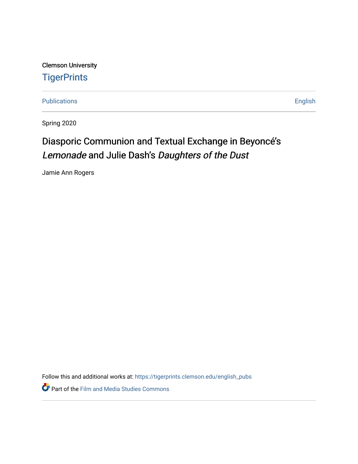Clemson University **TigerPrints** 

[Publications](https://tigerprints.clemson.edu/english_pubs) **English** 

Spring 2020

# Diasporic Communion and Textual Exchange in Beyoncé's Lemonade and Julie Dash's Daughters of the Dust

Jamie Ann Rogers

Follow this and additional works at: [https://tigerprints.clemson.edu/english\\_pubs](https://tigerprints.clemson.edu/english_pubs?utm_source=tigerprints.clemson.edu%2Fenglish_pubs%2F46&utm_medium=PDF&utm_campaign=PDFCoverPages) 

Part of the [Film and Media Studies Commons](http://network.bepress.com/hgg/discipline/563?utm_source=tigerprints.clemson.edu%2Fenglish_pubs%2F46&utm_medium=PDF&utm_campaign=PDFCoverPages)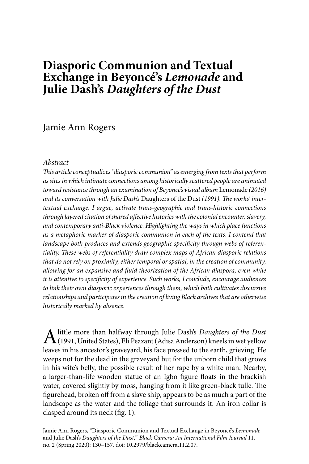## **Diasporic Communion and Textual Exchange in Beyoncé's** *Lemonade* **and Julie Dash's** *Daughters of the Dust*

### Jamie Ann Rogers

#### *Abstract*

*This article conceptualizes "diasporic communion" as emerging from texts that perform as sites in which intimate connections among historically scattered people are animated toward resistance through an examination of Beyoncé's visual album* Lemonade *(2016) and its conversation with Julie Dash's* Daughters of the Dust *(1991). The works' intertextual exchange, I argue, activate trans-geographic and trans-historic connections through layered citation of shared affective histories with the colonial encounter, slavery, and contemporary anti-Black violence. Highlighting the ways in which place functions as a metaphoric marker of diasporic communion in each of the texts, I contend that landscape both produces and extends geographic specificity through webs of referentiality. These webs of referentiality draw complex maps of African diasporic relations that do not rely on proximity, either temporal or spatial, in the creation of community, allowing for an expansive and fluid theorization of the African diaspora, even while it is attentive to specificity of experience. Such works, I conclude, encourage audiences to link their own diasporic experiences through them, which both cultivates discursive relationships and participates in the creation of living Black archives that are otherwise historically marked by absence.*

A little more than halfway through Julie Dash's *Daughters of the Dust*   $\Gamma$  (1991, United States), Eli Peazant (Adisa Anderson) kneels in wet yellow leaves in his ancestor's graveyard, his face pressed to the earth, grieving. He weeps not for the dead in the graveyard but for the unborn child that grows in his wife's belly, the possible result of her rape by a white man. Nearby, a larger-than-life wooden statue of an Igbo figure floats in the brackish water, covered slightly by moss, hanging from it like green-black tulle. The figurehead, broken off from a slave ship, appears to be as much a part of the landscape as the water and the foliage that surrounds it. An iron collar is clasped around its neck (fig. 1).

Jamie Ann Rogers, "Diasporic Communion and Textual Exchange in Beyoncé's *Lemonade*  and Julie Dash's *Daughters of the Dust,*" *Black Camera: An International Film Journal* 11, no. 2 (Spring 2020): 130–157, doi: 10.2979/blackcamera.11.2.07.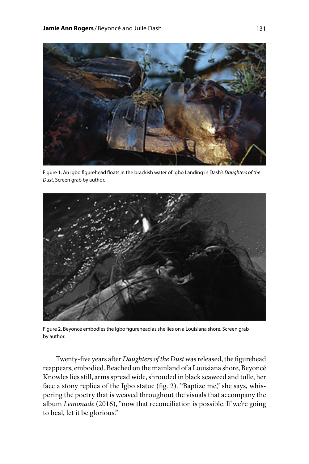

Figure 1. An Igbo figurehead floats in the brackish water of Igbo Landing in Dash's *Daughters of the Dust*. Screen grab by author.



Figure 2. Beyoncé embodies the Igbo figurehead as she lies on a Louisiana shore. Screen grab by author.

Twenty-five years after *Daughters of the Dust* was released, the figurehead reappears, embodied. Beached on the mainland of a Louisiana shore, Beyoncé Knowles lies still, arms spread wide, shrouded in black seaweed and tulle, her face a stony replica of the Igbo statue (fig. 2). "Baptize me," she says, whispering the poetry that is weaved throughout the visuals that accompany the album *Lemonade* (2016), "now that reconciliation is possible. If we're going to heal, let it be glorious."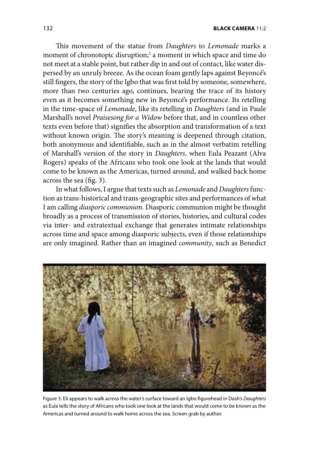This movement of the statue from *Daughters* to *Lemonade* marks a moment of chronotopic disruption;<sup>1</sup> a moment in which space and time do not meet at a stable point, but rather dip in and out of contact, like water dispersed by an unruly breeze. As the ocean foam gently laps against Beyoncé's still fingers, the story of the Igbo that was first told by someone, somewhere, more than two centuries ago, continues, bearing the trace of its history even as it becomes something new in Beyoncé's performance. Its retelling in the time-space of *Lemonade*, like its retelling in *Daughters* (and in Paule Marshall's novel *Praisesong for a Widow* before that, and in countless other texts even before that) signifies the absorption and transformation of a text without known origin. The story's meaning is deepened through citation, both anonymous and identifiable, such as in the almost verbatim retelling of Marshall's version of the story in *Daughters*, when Eula Peazant (Alva Rogers) speaks of the Africans who took one look at the lands that would come to be known as the Americas, turned around, and walked back home across the sea (fig. 3).

In what follows, I argue that texts such as *Lemonade* and *Daughters* function as trans-historical and trans-geographic sites and performances of what I am calling *diasporic communion*. Diasporic communion might be thought broadly as a process of transmission of stories, histories, and cultural codes via inter- and extratextual exchange that generates intimate relationships across time and space among diasporic subjects, even if those relationships are only imagined. Rather than an imagined *community*, such as Benedict



Figure 3. Eli appears to walk across the water's surface toward an Igbo figurehead in Dash's *Daughters* as Eula tells the story of Africans who took one look at the lands that would come to be known as the Americas and turned around to walk home across the sea. Screen grab by author.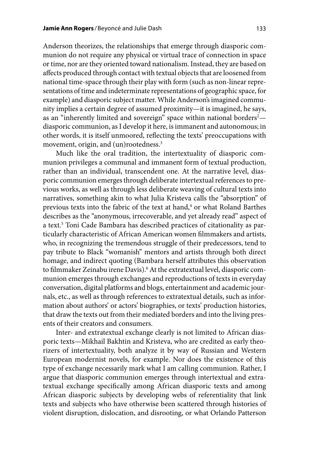Anderson theorizes, the relationships that emerge through diasporic communion do not require any physical or virtual trace of connection in space or time, nor are they oriented toward nationalism. Instead, they are based on affects produced through contact with textual objects that are loosened from national time-space through their play with form (such as non-linear representations of time and indeterminate representations of geographic space, for example) and diasporic subject matter. While Anderson's imagined community implies a certain degree of assumed proximity—it is imagined, he says, as an "inherently limited and sovereign" space within national borders $^2$ diasporic communion, as I develop it here, is immanent and autonomous; in other words, it is itself unmoored, reflecting the texts' preoccupations with movement, origin, and (un)rootedness.3

Much like the oral tradition, the intertextuality of diasporic communion privileges a communal and immanent form of textual production, rather than an individual, transcendent one. At the narrative level, diasporic communion emerges through deliberate intertextual references to previous works, as well as through less deliberate weaving of cultural texts into narratives, something akin to what Julia Kristeva calls the "absorption" of previous texts into the fabric of the text at hand,<sup>4</sup> or what Roland Barthes describes as the "anonymous, irrecoverable, and yet already read" aspect of a text.<sup>5</sup> Toni Cade Bambara has described practices of citationality as particularly characteristic of African American women filmmakers and artists, who, in recognizing the tremendous struggle of their predecessors, tend to pay tribute to Black "womanish" mentors and artists through both direct homage, and indirect quoting (Bambara herself attributes this observation to filmmaker Zeinabu irene Davis).<sup>6</sup> At the extratextual level, diasporic communion emerges through exchanges and reproductions of texts in everyday conversation, digital platforms and blogs, entertainment and academic journals, etc., as well as through references to extratextual details, such as information about authors' or actors' biographies, or texts' production histories, that draw the texts out from their mediated borders and into the living presents of their creators and consumers.

Inter- and extratextual exchange clearly is not limited to African diasporic texts—Mikhail Bakhtin and Kristeva, who are credited as early theorizers of intertextuality, both analyze it by way of Russian and Western European modernist novels, for example. Nor does the existence of this type of exchange necessarily mark what I am calling communion. Rather, I argue that diasporic communion emerges through intertextual and extratextual exchange specifically among African diasporic texts and among African diasporic subjects by developing webs of referentiality that link texts and subjects who have otherwise been scattered through histories of violent disruption, dislocation, and disrooting, or what Orlando Patterson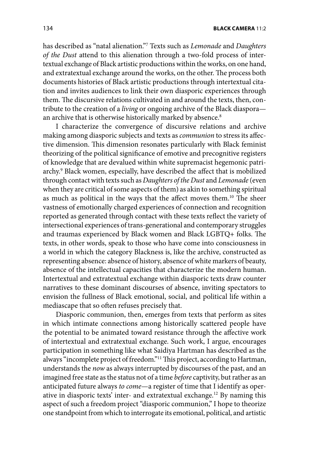has described as "natal alienation."7 Texts such as *Lemonade* and *Daughters of the Dust* attend to this alienation through a two-fold process of intertextual exchange of Black artistic productions within the works, on one hand, and extratextual exchange around the works, on the other. The process both documents histories of Black artistic productions through intertextual citation and invites audiences to link their own diasporic experiences through them. The discursive relations cultivated in and around the texts, then, contribute to the creation of a *living* or ongoing archive of the Black diaspora an archive that is otherwise historically marked by absence.<sup>8</sup>

I characterize the convergence of discursive relations and archive making among diasporic subjects and texts as *communion* to stress its affective dimension. This dimension resonates particularly with Black feminist theorizing of the political significance of emotive and precognitive registers of knowledge that are devalued within white supremacist hegemonic patriarchy.<sup>9</sup> Black women, especially, have described the affect that is mobilized through contact with texts such as *Daughters of the Dust* and *Lemonade* (even when they are critical of some aspects of them) as akin to something spiritual as much as political in the ways that the affect moves them.10 The sheer vastness of emotionally charged experiences of connection and recognition reported as generated through contact with these texts reflect the variety of intersectional experiences of trans-generational and contemporary struggles and traumas experienced by Black women and Black LGBTQ+ folks. The texts, in other words, speak to those who have come into consciousness in a world in which the category Blackness is, like the archive, constructed as representing absence: absence of history, absence of white markers of beauty, absence of the intellectual capacities that characterize the modern human. Intertextual and extratextual exchange within diasporic texts draw counter narratives to these dominant discourses of absence, inviting spectators to envision the fullness of Black emotional, social, and political life within a mediascape that so often refuses precisely that.

Diasporic communion, then, emerges from texts that perform as sites in which intimate connections among historically scattered people have the potential to be animated toward resistance through the affective work of intertextual and extratextual exchange. Such work, I argue, encourages participation in something like what Saidiya Hartman has described as the always "incomplete project of freedom."11 This project, according to Hartman, understands the *now* as always interrupted by discourses of the past, and an imagined free state as the status not of a time *before* captivity, but rather as an anticipated future always *to come*—a register of time that I identify as operative in diasporic texts' inter- and extratextual exchange.<sup>12</sup> By naming this aspect of such a freedom project "diasporic communion," I hope to theorize one standpoint from which to interrogate its emotional, political, and artistic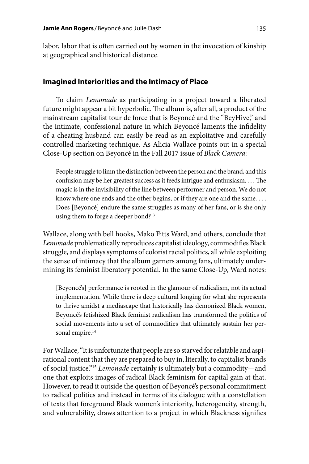labor, labor that is often carried out by women in the invocation of kinship at geographical and historical distance.

#### **Imagined Interiorities and the Intimacy of Place**

To claim *Lemonade* as participating in a project toward a liberated future might appear a bit hyperbolic. The album is, after all, a product of the mainstream capitalist tour de force that is Beyoncé and the "BeyHive," and the intimate, confessional nature in which Beyoncé laments the infidelity of a cheating husband can easily be read as an exploitative and carefully controlled marketing technique. As Alicia Wallace points out in a special Close-Up section on Beyoncé in the Fall 2017 issue of *Black Camera*:

People struggle to limn the distinction between the person and the brand, and this confusion may be her greatest success as it feeds intrigue and enthusiasm. . . . The magic is in the invisibility of the line between performer and person. We do not know where one ends and the other begins, or if they are one and the same. . . . Does [Beyoncé] endure the same struggles as many of her fans, or is she only using them to forge a deeper bond?<sup>13</sup>

Wallace, along with bell hooks, Mako Fitts Ward, and others, conclude that *Lemonade* problematically reproduces capitalist ideology, commodifies Black struggle, and displays symptoms of colorist racial politics, all while exploiting the sense of intimacy that the album garners among fans, ultimately undermining its feminist liberatory potential. In the same Close-Up, Ward notes:

[Beyoncé's] performance is rooted in the glamour of radicalism, not its actual implementation. While there is deep cultural longing for what she represents to thrive amidst a mediascape that historically has demonized Black women, Beyoncé's fetishized Black feminist radicalism has transformed the politics of social movements into a set of commodities that ultimately sustain her personal empire.<sup>14</sup>

For Wallace, "It is unfortunate that people are so starved for relatable and aspirational content that they are prepared to buy in, literally, to capitalist brands of social justice."15 *Lemonade* certainly is ultimately but a commodity—and one that exploits images of radical Black feminism for capital gain at that. However, to read it outside the question of Beyoncé's personal commitment to radical politics and instead in terms of its dialogue with a constellation of texts that foreground Black women's interiority, heterogeneity, strength, and vulnerability, draws attention to a project in which Blackness signifies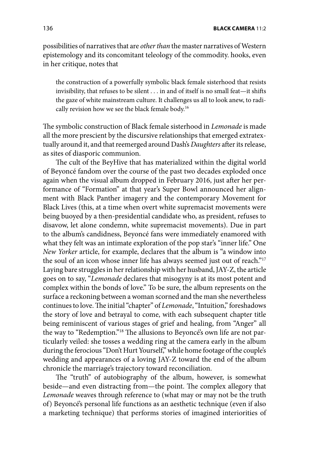possibilities of narratives that are *other than* the master narratives of Western epistemology and its concomitant teleology of the commodity. hooks, even in her critique, notes that

the construction of a powerfully symbolic black female sisterhood that resists invisibility, that refuses to be silent . . . in and of itself is no small feat—it shifts the gaze of white mainstream culture. It challenges us all to look anew, to radically revision how we see the black female body.16

The symbolic construction of Black female sisterhood in *Lemonade* is made all the more prescient by the discursive relationships that emerged extratextually around it, and that reemerged around Dash's *Daughters* after its release, as sites of diasporic communion.

The cult of the BeyHive that has materialized within the digital world of Beyoncé fandom over the course of the past two decades exploded once again when the visual album dropped in February 2016, just after her performance of "Formation" at that year's Super Bowl announced her alignment with Black Panther imagery and the contemporary Movement for Black Lives (this, at a time when overt white supremacist movements were being buoyed by a then-presidential candidate who, as president, refuses to disavow, let alone condemn, white supremacist movements). Due in part to the album's candidness, Beyoncé fans were immediately enamored with what they felt was an intimate exploration of the pop star's "inner life." One *New Yorker* article, for example, declares that the album is "a window into the soul of an icon whose inner life has always seemed just out of reach."<sup>17</sup> Laying bare struggles in her relationship with her husband, JAY-Z, the article goes on to say, "*Lemonade* declares that misogyny is at its most potent and complex within the bonds of love." To be sure, the album represents on the surface a reckoning between a woman scorned and the man she nevertheless continues to love. The initial "chapter" of *Lemonade*, "Intuition," foreshadows the story of love and betrayal to come, with each subsequent chapter title being reminiscent of various stages of grief and healing, from "Anger" all the way to "Redemption."<sup>18</sup> The allusions to Beyoncé's own life are not particularly veiled: she tosses a wedding ring at the camera early in the album during the ferocious "Don't Hurt Yourself," while home footage of the couple's wedding and appearances of a loving JAY-Z toward the end of the album chronicle the marriage's trajectory toward reconciliation.

The "truth" of autobiography of the album, however, is somewhat beside—and even distracting from—the point. The complex allegory that *Lemonade* weaves through reference to (what may or may not be the truth of) Beyoncé's personal life functions as an aesthetic technique (even if also a marketing technique) that performs stories of imagined interiorities of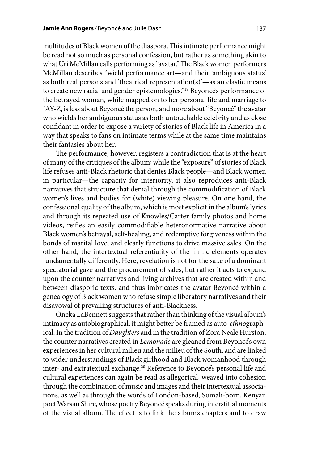multitudes of Black women of the diaspora. This intimate performance might be read not so much as personal confession, but rather as something akin to what Uri McMillan calls performing as "avatar." The Black women performers McMillan describes "wield performance art—and their 'ambiguous status' as both real persons and 'theatrical representation(s)'—as an elastic means to create new racial and gender epistemologies."<sup>19</sup> Beyoncé's performance of the betrayed woman, while mapped on to her personal life and marriage to JAY-Z, is less about Beyoncé the person, and more about "Beyoncé" the avatar who wields her ambiguous status as both untouchable celebrity and as close confidant in order to expose a variety of stories of Black life in America in a way that speaks to fans on intimate terms while at the same time maintains their fantasies about her.

The performance, however, registers a contradiction that is at the heart of many of the critiques of the album; while the "exposure" of stories of Black life refuses anti-Black rhetoric that denies Black people—and Black women in particular—the capacity for interiority, it also reproduces anti-Black narratives that structure that denial through the commodification of Black women's lives and bodies for (white) viewing pleasure. On one hand, the confessional quality of the album, which is most explicit in the album's lyrics and through its repeated use of Knowles/Carter family photos and home videos, reifies an easily commodifiable heteronormative narrative about Black women's betrayal, self-healing, and redemptive forgiveness within the bonds of marital love, and clearly functions to drive massive sales. On the other hand, the intertextual referentiality of the filmic elements operates fundamentally differently. Here, revelation is not for the sake of a dominant spectatorial gaze and the procurement of sales, but rather it acts to expand upon the counter narratives and living archives that are created within and between diasporic texts, and thus imbricates the avatar Beyoncé within a genealogy of Black women who refuse simple liberatory narratives and their disavowal of prevailing structures of anti-Blackness.

Oneka LaBennett suggests that rather than thinking of the visual album's intimacy as autobiographical, it might better be framed as auto-*ethno*graphical. In the tradition of *Daughters* and in the tradition of Zora Neale Hurston, the counter narratives created in *Lemonade* are gleaned from Beyoncé's own experiences in her cultural milieu and the milieu of the South, and are linked to wider understandings of Black girlhood and Black womanhood through inter- and extratextual exchange.<sup>20</sup> Reference to Beyonce's personal life and cultural experiences can again be read as allegorical, weaved into cohesion through the combination of music and images and their intertextual associations, as well as through the words of London-based, Somali-born, Kenyan poet Warsan Shire, whose poetry Beyoncé speaks during interstitial moments of the visual album. The effect is to link the album's chapters and to draw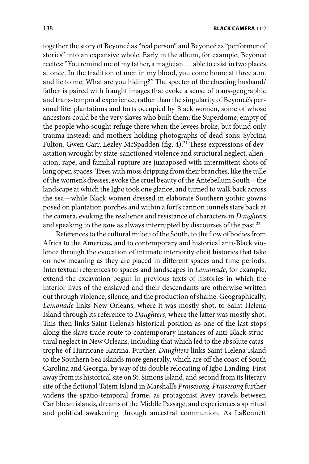together the story of Beyoncé as "real person" and Beyoncé as "performer of stories" into an expansive whole. Early in the album, for example, Beyoncé recites: "You remind me of my father, a magician . . . able to exist in two places at once. In the tradition of men in my blood, you come home at three a.m. and lie to me. What are you hiding?" The specter of the cheating husband/ father is paired with fraught images that evoke a sense of trans-geographic and trans-temporal experience, rather than the singularity of Beyoncé's personal life: plantations and forts occupied by Black women, some of whose ancestors could be the very slaves who built them; the Superdome, empty of the people who sought refuge there when the levees broke, but found only trauma instead; and mothers holding photographs of dead sons: Sybrina Fulton, Gwen Carr, Lezley McSpadden (fig. 4).<sup>21</sup> These expressions of devastation wrought by state-sanctioned violence and structural neglect, alienation, rape, and familial rupture are juxtaposed with intermittent shots of long open spaces. Trees with moss dripping from their branches, like the tulle of the women's dresses, evoke the cruel beauty of the Antebellum South—the landscape at which the Igbo took one glance, and turned to walk back across the sea—while Black women dressed in elaborate Southern gothic gowns posed on plantation porches and within a fort's cannon tunnels stare back at the camera, evoking the resilience and resistance of characters in *Daughters*  and speaking to the *now* as always interrupted by discourses of the past.<sup>22</sup>

References to the cultural milieu of the South, to the flow of bodies from Africa to the Americas, and to contemporary and historical anti-Black violence through the evocation of intimate interiority elicit histories that take on new meaning as they are placed in different spaces and time periods. Intertextual references to spaces and landscapes in *Lemonade*, for example, extend the excavation begun in previous texts of histories in which the interior lives of the enslaved and their descendants are otherwise written out through violence, silence, and the production of shame. Geographically, *Lemonade* links New Orleans, where it was mostly shot, to Saint Helena Island through its reference to *Daughters*, where the latter was mostly shot. This then links Saint Helena's historical position as one of the last stops along the slave trade route to contemporary instances of anti-Black structural neglect in New Orleans, including that which led to the absolute catastrophe of Hurricane Katrina. Further, *Daughters* links Saint Helena Island to the Southern Sea Islands more generally, which are off the coast of South Carolina and Georgia, by way of its double relocating of Igbo Landing: First away from its historical site on St. Simons Island, and second from its literary site of the fictional Tatem Island in Marshall's *Praisesong. Praisesong* further widens the spatio-temporal frame, as protagonist Avey travels between Caribbean islands, dreams of the Middle Passage, and experiences a spiritual and political awakening through ancestral communion. As LaBennett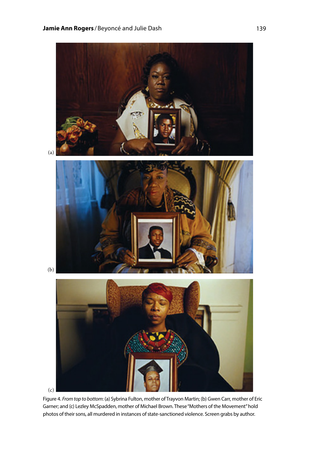

Figure 4. *From top to bottom*: (a) Sybrina Fulton, mother of Trayvon Martin; (b) Gwen Carr, mother of Eric Garner; and (c) Lezley McSpadden, mother of Michael Brown. These "Mothers of the Movement" hold photos of their sons, all murdered in instances of state-sanctioned violence. Screen grabs by author.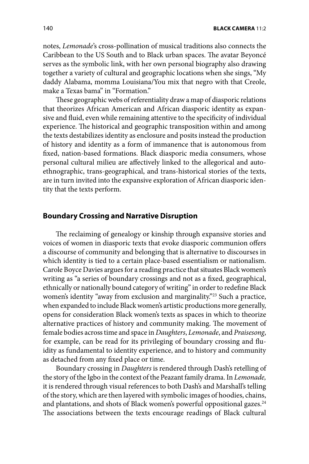notes, *Lemonade*'s cross-pollination of musical traditions also connects the Caribbean to the US South and to Black urban spaces. The avatar Beyoncé serves as the symbolic link, with her own personal biography also drawing together a variety of cultural and geographic locations when she sings, "My daddy Alabama, momma Louisiana/You mix that negro with that Creole, make a Texas bama" in "Formation."

These geographic webs of referentiality draw a map of diasporic relations that theorizes African American and African diasporic identity as expansive and fluid, even while remaining attentive to the specificity of individual experience. The historical and geographic transposition within and among the texts destabilizes identity as enclosure and posits instead the production of history and identity as a form of immanence that is autonomous from fixed, nation-based formations. Black diasporic media consumers, whose personal cultural milieu are affectively linked to the allegorical and autoethnographic, trans-geographical, and trans-historical stories of the texts, are in turn invited into the expansive exploration of African diasporic identity that the texts perform.

#### **Boundary Crossing and Narrative Disruption**

The reclaiming of genealogy or kinship through expansive stories and voices of women in diasporic texts that evoke diasporic communion offers a discourse of community and belonging that is alternative to discourses in which identity is tied to a certain place-based essentialism or nationalism. Carole Boyce Davies argues for a reading practice that situates Black women's writing as "a series of boundary crossings and not as a fixed, geographical, ethnically or nationally bound category of writing" in order to redefine Black women's identity "away from exclusion and marginality."<sup>23</sup> Such a practice, when expanded to include Black women's artistic productions more generally, opens for consideration Black women's texts as spaces in which to theorize alternative practices of history and community making. The movement of female bodies across time and space in *Daughters*, *Lemonade*, and *Praisesong*, for example, can be read for its privileging of boundary crossing and fluidity as fundamental to identity experience, and to history and community as detached from any fixed place or time.

Boundary crossing in *Daughters* is rendered through Dash's retelling of the story of the Igbo in the context of the Peazant family drama. In *Lemonade,*  it is rendered through visual references to both Dash's and Marshall's telling of the story, which are then layered with symbolic images of hoodies, chains, and plantations, and shots of Black women's powerful oppositional gazes.<sup>24</sup> The associations between the texts encourage readings of Black cultural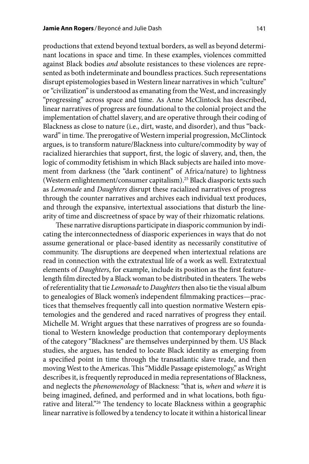productions that extend beyond textual borders, as well as beyond determinant locations in space and time. In these examples, violences committed against Black bodies *and* absolute resistances to these violences are represented as both indeterminate and boundless practices. Such representations disrupt epistemologies based in Western linear narratives in which "culture" or "civilization" is understood as emanating from the West, and increasingly "progressing" across space and time. As Anne McClintock has described, linear narratives of progress are foundational to the colonial project and the implementation of chattel slavery, and are operative through their coding of Blackness as close to nature (i.e., dirt, waste, and disorder), and thus "backward" in time. The prerogative of Western imperial progression, McClintock argues, is to transform nature/Blackness into culture/commodity by way of racialized hierarchies that support, first, the logic of slavery, and, then, the logic of commodity fetishism in which Black subjects are hailed into movement from darkness (the "dark continent" of Africa/nature) to lightness (Western enlightenment/consumer capitalism).25 Black diasporic texts such as *Lemonade* and *Daughters* disrupt these racialized narratives of progress through the counter narratives and archives each individual text produces, and through the expansive, intertextual associations that disturb the linearity of time and discreetness of space by way of their rhizomatic relations.

These narrative disruptions participate in diasporic communion by indicating the interconnectedness of diasporic experiences in ways that do not assume generational or place-based identity as necessarily constitutive of community. The disruptions are deepened when intertextual relations are read in connection with the extratextual life of a work as well. Extratextual elements of *Daughters*, for example, include its position as the first featurelength film directed by a Black woman to be distributed in theaters. The webs of referentiality that tie *Lemonade* to *Daughters* then also tie the visual album to genealogies of Black women's independent filmmaking practices—practices that themselves frequently call into question normative Western epistemologies and the gendered and raced narratives of progress they entail. Michelle M. Wright argues that these narratives of progress are so foundational to Western knowledge production that contemporary deployments of the category "Blackness" are themselves underpinned by them. US Black studies, she argues, has tended to locate Black identity as emerging from a specified point in time through the transatlantic slave trade, and then moving West to the Americas. This "Middle Passage epistemology," as Wright describes it, is frequently reproduced in media representations of Blackness, and neglects the *phenomenology* of Blackness: "that is, *when* and *where* it is being imagined, defined, and performed and in what locations, both figurative and literal."<sup>26</sup> The tendency to locate Blackness within a geographic linear narrative is followed by a tendency to locate it within a historical linear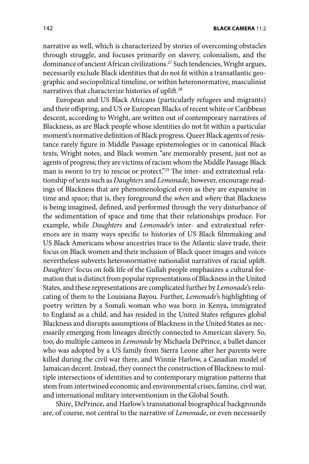narrative as well, which is characterized by stories of overcoming obstacles through struggle, and focuses primarily on slavery, colonialism, and the dominance of ancient African civilizations.<sup>27</sup> Such tendencies, Wright argues, necessarily exclude Black identities that do not fit within a transatlantic geographic and sociopolitical timeline, or within heteronormative, masculinist narratives that characterize histories of uplift.<sup>28</sup>

European and US Black Africans (particularly refugees and migrants) and their offspring, and US or European Blacks of recent white or Caribbean descent, according to Wright, are written out of contemporary narratives of Blackness, as are Black people whose identities do not fit within a particular moment's normative definition of Black progress. Queer Black agents of resistance rarely figure in Middle Passage epistemologies or in canonical Black texts, Wright notes, and Black women "are memorably present, just not as agents of progress; they are victims of racism whom the Middle Passage Black man is sworn to try to rescue or protect."<sup>29</sup> The inter- and extratextual relationship of texts such as *Daughters* and *Lemonade,* however, encourage readings of Blackness that are phenomenological even as they are expansive in time and space; that is, they foreground the *when* and *where* that Blackness is being imagined, defined, and performed through the very disturbance of the sedimentation of space and time that their relationships produce. For example, while *Daughters* and *Lemonade*'s inter- and extratextual references are in many ways specific to histories of US Black filmmaking and US Black Americans whose ancestries trace to the Atlantic slave trade, their focus on Black women and their inclusion of Black queer images and voices nevertheless subverts heteronormative nationalist narratives of racial uplift. *Daughters*' focus on folk life of the Gullah people emphasizes a cultural formation that is distinct from popular representations of Blackness in the United States, and these representations are complicated further by *Lemonade*'s relocating of them to the Louisiana Bayou. Further, *Lemonade*'s highlighting of poetry written by a Somali woman who was born in Kenya, immigrated to England as a child, and has resided in the United States refigures global Blackness and disrupts assumptions of Blackness in the United States as necessarily emerging from lineages directly connected to American slavery. So, too, do multiple cameos in *Lemonade* by Michaela DePrince, a ballet dancer who was adopted by a US family from Sierra Leone after her parents were killed during the civil war there, and Winnie Harlow, a Canadian model of Jamaican decent. Instead, they connect the construction of Blackness to multiple intersections of identities and to contemporary migration patterns that stem from intertwined economic and environmental crises, famine, civil war, and international military interventionism in the Global South.

Shire, DePrince, and Harlow's transnational biographical backgrounds are, of course, not central to the narrative of *Lemonade*, or even necessarily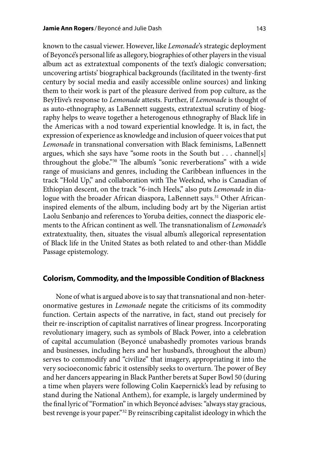known to the casual viewer. However, like *Lemonade*'s strategic deployment of Beyoncé's personal life as allegory, biographies of other players in the visual album act as extratextual components of the text's dialogic conversation; uncovering artists' biographical backgrounds (facilitated in the twenty-first century by social media and easily accessible online sources) and linking them to their work is part of the pleasure derived from pop culture, as the BeyHive's response to *Lemonade* attests. Further, if *Lemonade* is thought of as auto-ethnography, as LaBennett suggests, extratextual scrutiny of biography helps to weave together a heterogenous ethnography of Black life in the Americas with a nod toward experiential knowledge. It is, in fact, the expression of experience as knowledge and inclusion of queer voices that put *Lemonade* in transnational conversation with Black feminisms, LaBennett argues, which she says have "some roots in the South but . . . channel[s] throughout the globe."<sup>30</sup> The album's "sonic reverberations" with a wide range of musicians and genres, including the Caribbean influences in the track "Hold Up," and collaboration with The Weeknd, who is Canadian of Ethiopian descent, on the track "6-inch Heels," also puts *Lemonade* in dialogue with the broader African diaspora, LaBennett says.<sup>31</sup> Other Africaninspired elements of the album, including body art by the Nigerian artist Laolu Senbanjo and references to Yoruba deities, connect the diasporic elements to the African continent as well. The transnationalism of *Lemonade*'s extratextuality, then, situates the visual album's allegorical representation of Black life in the United States as both related to and other-than Middle Passage epistemology.

#### **Colorism, Commodity, and the Impossible Condition of Blackness**

None of what is argued above is to say that transnational and non-heteronormative gestures in *Lemonade* negate the criticisms of its commodity function. Certain aspects of the narrative, in fact, stand out precisely for their re-inscription of capitalist narratives of linear progress. Incorporating revolutionary imagery, such as symbols of Black Power, into a celebration of capital accumulation (Beyoncé unabashedly promotes various brands and businesses, including hers and her husband's, throughout the album) serves to commodify and "civilize" that imagery, appropriating it into the very socioeconomic fabric it ostensibly seeks to overturn. The power of Bey and her dancers appearing in Black Panther berets at Super Bowl 50 (during a time when players were following Colin Kaepernick's lead by refusing to stand during the National Anthem), for example, is largely undermined by the final lyric of "Formation" in which Beyoncé advises: "always stay gracious, best revenge is your paper."32 By reinscribing capitalist ideology in which the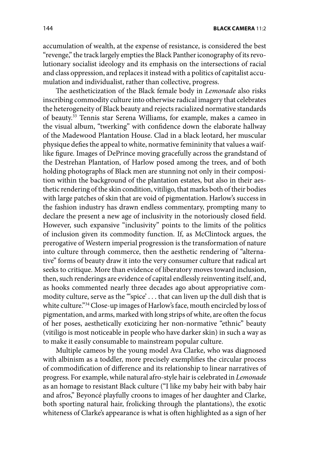accumulation of wealth, at the expense of resistance, is considered the best "revenge," the track largely empties the Black Panther iconography of its revolutionary socialist ideology and its emphasis on the intersections of racial and class oppression, and replaces it instead with a politics of capitalist accumulation and individualist, rather than collective, progress.

The aestheticization of the Black female body in *Lemonade* also risks inscribing commodity culture into otherwise radical imagery that celebrates the heterogeneity of Black beauty and rejects racialized normative standards of beauty.33 Tennis star Serena Williams, for example, makes a cameo in the visual album, "twerking" with confidence down the elaborate hallway of the Madewood Plantation House. Clad in a black leotard, her muscular physique defies the appeal to white, normative femininity that values a waiflike figure. Images of DePrince moving gracefully across the grandstand of the Destrehan Plantation, of Harlow posed among the trees, and of both holding photographs of Black men are stunning not only in their composition within the background of the plantation estates, but also in their aesthetic rendering of the skin condition, vitiligo, that marks both of their bodies with large patches of skin that are void of pigmentation. Harlow's success in the fashion industry has drawn endless commentary, prompting many to declare the present a new age of inclusivity in the notoriously closed field. However, such expansive "inclusivity" points to the limits of the politics of inclusion given its commodity function. If, as McClintock argues, the prerogative of Western imperial progression is the transformation of nature into culture through commerce, then the aesthetic rendering of "alternative" forms of beauty draw it into the very consumer culture that radical art seeks to critique. More than evidence of liberatory moves toward inclusion, then, such renderings are evidence of capital endlessly reinventing itself, and, as hooks commented nearly three decades ago about appropriative commodity culture, serve as the "'spice' . . . that can liven up the dull dish that is white culture."<sup>34</sup> Close-up images of Harlow's face, mouth encircled by loss of pigmentation, and arms, marked with long strips of white, are often the focus of her poses, aesthetically exoticizing her non-normative "ethnic" beauty (vitiligo is most noticeable in people who have darker skin) in such a way as to make it easily consumable to mainstream popular culture.

Multiple cameos by the young model Ava Clarke, who was diagnosed with albinism as a toddler, more precisely exemplifies the circular process of commodification of difference and its relationship to linear narratives of progress. For example, while natural afro-style hair is celebrated in *Lemonade*  as an homage to resistant Black culture ("I like my baby heir with baby hair and afros," Beyoncé playfully croons to images of her daughter and Clarke, both sporting natural hair, frolicking through the plantations), the exotic whiteness of Clarke's appearance is what is often highlighted as a sign of her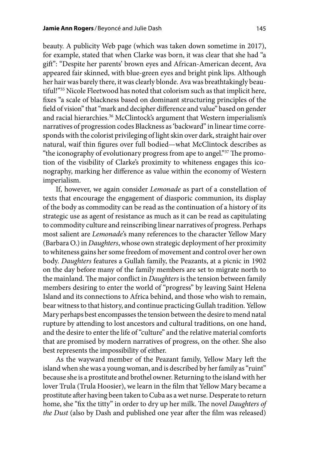beauty. A publicity Web page (which was taken down sometime in 2017), for example, stated that when Clarke was born, it was clear that she had "a gift": "Despite her parents' brown eyes and African-American decent, Ava appeared fair skinned, with blue-green eyes and bright pink lips. Although her hair was barely there, it was clearly blonde. Ava was breathtakingly beautiful!"35 Nicole Fleetwood has noted that colorism such as that implicit here, fixes "a scale of blackness based on dominant structuring principles of the field of vision" that "mark and decipher difference and value" based on gender and racial hierarchies.<sup>36</sup> McClintock's argument that Western imperialism's narratives of progression codes Blackness as 'backward" in linear time corresponds with the colorist privileging of light skin over dark, straight hair over natural, waif thin figures over full bodied—what McClintock describes as "the iconography of evolutionary progress from ape to angel."37 The promotion of the visibility of Clarke's proximity to whiteness engages this iconography, marking her difference as value within the economy of Western imperialism.

If, however, we again consider *Lemonade* as part of a constellation of texts that encourage the engagement of diasporic communion, its display of the body as commodity can be read as the continuation of a history of its strategic use as agent of resistance as much as it can be read as capitulating to commodity culture and reinscribing linear narratives of progress. Perhaps most salient are *Lemonade*'s many references to the character Yellow Mary (Barbara O.) in *Daughters*, whose own strategic deployment of her proximity to whiteness gains her some freedom of movement and control over her own body. *Daughters* features a Gullah family, the Peazants, at a picnic in 1902 on the day before many of the family members are set to migrate north to the mainland. The major conflict in *Daughters* is the tension between family members desiring to enter the world of "progress" by leaving Saint Helena Island and its connections to Africa behind, and those who wish to remain, bear witness to that history, and continue practicing Gullah tradition. Yellow Mary perhaps best encompasses the tension between the desire to mend natal rupture by attending to lost ancestors and cultural traditions, on one hand, and the desire to enter the life of "culture" and the relative material comforts that are promised by modern narratives of progress, on the other. She also best represents the impossibility of either.

As the wayward member of the Peazant family, Yellow Mary left the island when she was a young woman, and is described by her family as "ruint" because she is a prostitute and brothel owner. Returning to the island with her lover Trula (Trula Hoosier), we learn in the film that Yellow Mary became a prostitute after having been taken to Cuba as a wet nurse. Desperate to return home, she "fix the titty" in order to dry up her milk. The novel *Daughters of the Dust* (also by Dash and published one year after the film was released)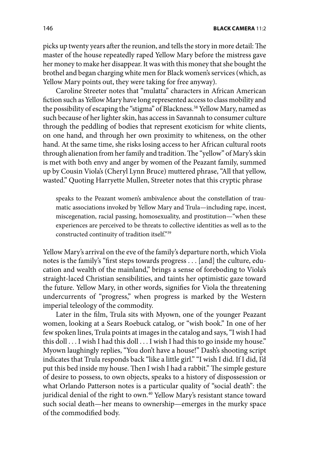picks up twenty years after the reunion, and tells the story in more detail: The master of the house repeatedly raped Yellow Mary before the mistress gave her money to make her disappear. It was with this money that she bought the brothel and began charging white men for Black women's services (which, as Yellow Mary points out, they were taking for free anyway).

Caroline Streeter notes that "mulatta" characters in African American fiction such as Yellow Mary have long represented access to class mobility and the possibility of escaping the "stigma" of Blackness.<sup>38</sup> Yellow Mary, named as such because of her lighter skin, has access in Savannah to consumer culture through the peddling of bodies that represent exoticism for white clients, on one hand, and through her own proximity to whiteness, on the other hand. At the same time, she risks losing access to her African cultural roots through alienation from her family and tradition. The "yellow" of Mary's skin is met with both envy and anger by women of the Peazant family, summed up by Cousin Viola's (Cheryl Lynn Bruce) muttered phrase, "All that yellow, wasted." Quoting Harryette Mullen, Streeter notes that this cryptic phrase

speaks to the Peazant women's ambivalence about the constellation of traumatic associations invoked by Yellow Mary and Trula—including rape, incest, miscegenation, racial passing, homosexuality, and prostitution—"when these experiences are perceived to be threats to collective identities as well as to the constructed continuity of tradition itself."39

Yellow Mary's arrival on the eve of the family's departure north, which Viola notes is the family's "first steps towards progress . . . [and] the culture, education and wealth of the mainland," brings a sense of foreboding to Viola's straight-laced Christian sensibilities, and taints her optimistic gaze toward the future. Yellow Mary, in other words, signifies for Viola the threatening undercurrents of "progress," when progress is marked by the Western imperial teleology of the commodity.

Later in the film, Trula sits with Myown, one of the younger Peazant women, looking at a Sears Roebuck catalog, or "wish book." In one of her few spoken lines, Trula points at images in the catalog and says, "I wish I had this doll . . . I wish I had this doll . . . I wish I had this to go inside my house." Myown laughingly replies, "You don't have a house!" Dash's shooting script indicates that Trula responds back "like a little girl." "I wish I did. If I did, I'd put this bed inside my house. Then I wish I had a rabbit." The simple gesture of desire to possess, to own objects, speaks to a history of dispossession or what Orlando Patterson notes is a particular quality of "social death": the juridical denial of the right to own.<sup>40</sup> Yellow Mary's resistant stance toward such social death—her means to ownership—emerges in the murky space of the commodified body.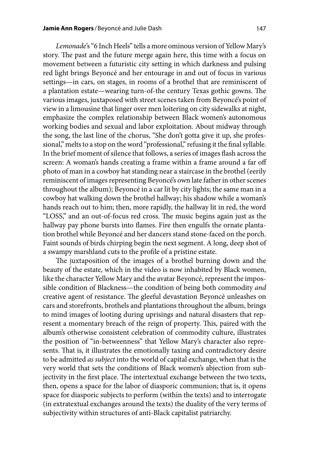*Lemonade*'s "6 Inch Heels" tells a more ominous version of Yellow Mary's story. The past and the future merge again here, this time with a focus on movement between a futuristic city setting in which darkness and pulsing red light brings Beyoncé and her entourage in and out of focus in various settings—in cars, on stages, in rooms of a brothel that are reminiscent of a plantation estate—wearing turn-of-the century Texas gothic gowns. The various images, juxtaposed with street scenes taken from Beyoncé's point of view in a limousine that linger over men loitering on city sidewalks at night, emphasize the complex relationship between Black women's autonomous working bodies and sexual and labor exploitation. About midway through the song, the last line of the chorus, "She don't gotta give it up, she professional," melts to a stop on the word "professional," refusing it the final syllable. In the brief moment of silence that follows, a series of images flash across the screen: A woman's hands creating a frame within a frame around a far off photo of man in a cowboy hat standing near a staircase in the brothel (eerily reminiscent of images representing Beyoncé's own late father in other scenes throughout the album); Beyoncé in a car lit by city lights; the same man in a cowboy hat walking down the brothel hallway; his shadow while a woman's hands reach out to him; then, more rapidly, the hallway lit in red, the word "LOSS," and an out-of-focus red cross. The music begins again just as the hallway pay phone bursts into flames. Fire then engulfs the ornate plantation brothel while Beyoncé and her dancers stand stone-faced on the porch. Faint sounds of birds chirping begin the next segment. A long, deep shot of a swampy marshland cuts to the profile of a pristine estate.

The juxtaposition of the images of a brothel burning down and the beauty of the estate, which in the video is now inhabited by Black women, like the character Yellow Mary and the avatar Beyoncé, represent the impossible condition of Blackness—the condition of being both commodity *and* creative agent of resistance. The gleeful devastation Beyoncé unleashes on cars and storefronts, brothels and plantations throughout the album, brings to mind images of looting during uprisings and natural disasters that represent a momentary breach of the reign of property. This, paired with the album's otherwise consistent celebration of commodity culture, illustrates the position of "in-betweenness" that Yellow Mary's character also represents. That is, it illustrates the emotionally taxing and contradictory desire to be admitted *as subject* into the world of capital exchange, when that is the very world that sets the conditions of Black women's abjection from subjectivity in the first place. The intertextual exchange between the two texts, then, opens a space for the labor of diasporic communion; that is, it opens space for diasporic subjects to perform (within the texts) and to interrogate (in extratextual exchanges around the texts) the duality of the very terms of subjectivity within structures of anti-Black capitalist patriarchy.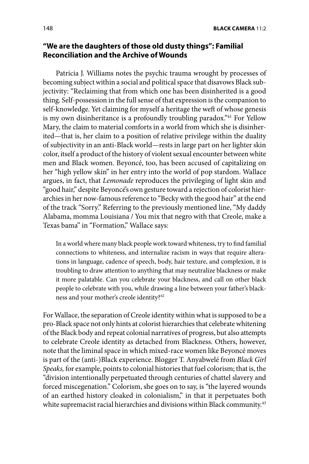#### **"We are the daughters of those old dusty things": Familial Reconciliation and the Archive of Wounds**

Patricia J. Williams notes the psychic trauma wrought by processes of becoming subject within a social and political space that disavows Black subjectivity: "Reclaiming that from which one has been disinherited is a good thing. Self-possession in the full sense of that expression is the companion to self-knowledge. Yet claiming for myself a heritage the weft of whose genesis is my own disinheritance is a profoundly troubling paradox.<sup>"41</sup> For Yellow Mary, the claim to material comforts in a world from which she is disinherited—that is, her claim to a position of relative privilege within the duality of subjectivity in an anti-Black world—rests in large part on her lighter skin color, itself a product of the history of violent sexual encounter between white men and Black women. Beyoncé, too, has been accused of capitalizing on her "high yellow skin" in her entry into the world of pop stardom. Wallace argues, in fact, that *Lemonade* reproduces the privileging of light skin and "good hair," despite Beyoncé's own gesture toward a rejection of colorist hierarchies in her now-famous reference to "Becky with the good hair" at the end of the track "Sorry." Referring to the previously mentioned line, "My daddy Alabama, momma Louisiana / You mix that negro with that Creole, make a Texas bama" in "Formation," Wallace says:

In a world where many black people work toward whiteness, try to find familial connections to whiteness, and internalize racism in ways that require alterations in language, cadence of speech, body, hair texture, and complexion, it is troubling to draw attention to anything that may neutralize blackness or make it more palatable. Can you celebrate your blackness, and call on other black people to celebrate with you, while drawing a line between your father's blackness and your mother's creole identity?42

For Wallace, the separation of Creole identity within what is supposed to be a pro-Black space not only hints at colorist hierarchies that celebrate whitening of the Black body and repeat colonial narratives of progress, but also attempts to celebrate Creole identity as detached from Blackness. Others, however, note that the liminal space in which mixed-race women like Beyoncé moves is part of the (anti-)Black experience. Blogger T. Anyabwelé from *Black Girl Speaks,* for example, points to colonial histories that fuel colorism; that is, the "division intentionally perpetuated through centuries of chattel slavery and forced miscegenation." Colorism, she goes on to say, is "the layered wounds of an earthed history cloaked in colonialism," in that it perpetuates both white supremacist racial hierarchies and divisions within Black community.<sup>43</sup>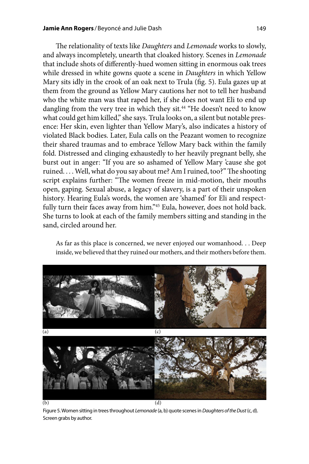The relationality of texts like *Daughters* and *Lemonade* works to slowly, and always incompletely, unearth that cloaked history. Scenes in *Lemonade*  that include shots of differently-hued women sitting in enormous oak trees while dressed in white gowns quote a scene in *Daughters* in which Yellow Mary sits idly in the crook of an oak next to Trula (fig. 5). Eula gazes up at them from the ground as Yellow Mary cautions her not to tell her husband who the white man was that raped her, if she does not want Eli to end up dangling from the very tree in which they sit.<sup>44</sup> "He doesn't need to know what could get him killed," she says. Trula looks on, a silent but notable presence: Her skin, even lighter than Yellow Mary's, also indicates a history of violated Black bodies. Later, Eula calls on the Peazant women to recognize their shared traumas and to embrace Yellow Mary back within the family fold. Distressed and clinging exhaustedly to her heavily pregnant belly, she burst out in anger: "If you are so ashamed of Yellow Mary 'cause she got ruined. . . . Well, what do you say about me? Am I ruined, too?" The shooting script explains further: "The women freeze in mid-motion, their mouths open, gaping. Sexual abuse, a legacy of slavery, is a part of their unspoken history. Hearing Eula's words, the women are 'shamed' for Eli and respectfully turn their faces away from him."45 Eula, however, does not hold back. She turns to look at each of the family members sitting and standing in the sand, circled around her.

As far as this place is concerned, we never enjoyed our womanhood. . . Deep inside, we believed that they ruined our mothers, and their mothers before them.



Figure 5. Women sitting in trees throughout *Lemonade* (a, b) quote scenes in *Daughters of the Dust* (c, d). Screen grabs by author.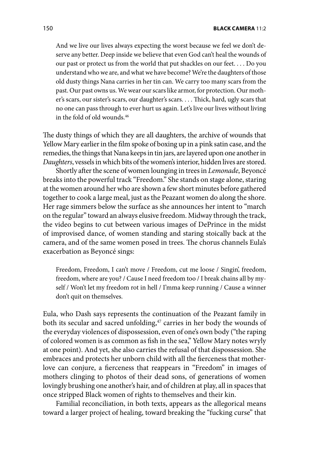And we live our lives always expecting the worst because we feel we don't deserve any better. Deep inside we believe that even God can't heal the wounds of our past or protect us from the world that put shackles on our feet. . . . Do you understand who we are, and what we have become? We're the daughters of those old dusty things Nana carries in her tin can. We carry too many scars from the past. Our past owns us. We wear our scars like armor, for protection. Our mother's scars, our sister's scars, our daughter's scars. . . . Thick, hard, ugly scars that no one can pass through to ever hurt us again. Let's live our lives without living in the fold of old wounds.46

The dusty things of which they are all daughters, the archive of wounds that Yellow Mary earlier in the film spoke of boxing up in a pink satin case, and the remedies, the things that Nana keeps in tin jars, are layered upon one another in *Daughters*, vessels in which bits of the women's interior, hidden lives are stored.

Shortly after the scene of women lounging in trees in *Lemonade*, Beyoncé breaks into the powerful track "Freedom." She stands on stage alone, staring at the women around her who are shown a few short minutes before gathered together to cook a large meal, just as the Peazant women do along the shore. Her rage simmers below the surface as she announces her intent to "march on the regular" toward an always elusive freedom. Midway through the track, the video begins to cut between various images of DePrince in the midst of improvised dance, of women standing and staring stoically back at the camera, and of the same women posed in trees. The chorus channels Eula's exacerbation as Beyoncé sings:

Freedom, Freedom, I can't move / Freedom, cut me loose / Singin', freedom, freedom, where are you? / Cause I need freedom too / I break chains all by myself / Won't let my freedom rot in hell / I'mma keep running / Cause a winner don't quit on themselves.

Eula, who Dash says represents the continuation of the Peazant family in both its secular and sacred unfolding,<sup>47</sup> carries in her body the wounds of the everyday violences of dispossession, even of one's own body ("the raping of colored women is as common as fish in the sea," Yellow Mary notes wryly at one point). And yet, she also carries the refusal of that dispossession. She embraces and protects her unborn child with all the fierceness that motherlove can conjure, a fierceness that reappears in "Freedom" in images of mothers clinging to photos of their dead sons, of generations of women lovingly brushing one another's hair, and of children at play, all in spaces that once stripped Black women of rights to themselves and their kin.

Familial reconciliation, in both texts, appears as the allegorical means toward a larger project of healing, toward breaking the "fucking curse" that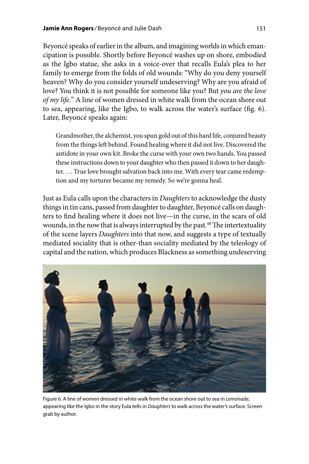Beyoncé speaks of earlier in the album, and imagining worlds in which emancipation is possible. Shortly before Beyoncé washes up on shore, embodied as the Igbo statue, she asks in a voice-over that recalls Eula's plea to her family to emerge from the folds of old wounds: "Why do you deny yourself heaven? Why do you consider yourself undeserving? Why are you afraid of love? You think it is not possible for someone like you? But *you are the love of my life.*" A line of women dressed in white walk from the ocean shore out to sea, appearing, like the Igbo, to walk across the water's surface (fig. 6). Later, Beyoncé speaks again:

Grandmother, the alchemist, you spun gold out of this hard life, conjured beauty from the things left behind. Found healing where it did not live. Discovered the antidote in your own kit. Broke the curse with your own two hands. You passed these instructions down to your daughter who then passed it down to her daughter. . . . True love brought salvation back into me. With every tear came redemption and my torturer became my remedy. So we're gonna heal.

Just as Eula calls upon the characters in *Daughters* to acknowledge the dusty things in tin cans, passed from daughter to daughter, Beyoncé calls on daughters to find healing where it does not live—in the curse, in the scars of old wounds, in the now that is always interrupted by the past.<sup>48</sup> The intertextuality of the scene layers *Daughters* into that now, and suggests a type of textually mediated sociality that is other-than sociality mediated by the teleology of capital and the nation, which produces Blackness as something undeserving



Figure 6. A line of women dressed in white walk from the ocean shore out to sea in *Lemonade*, appearing like the Igbo in the story Eula tells in *Daughters* to walk across the water's surface. Screen grab by author.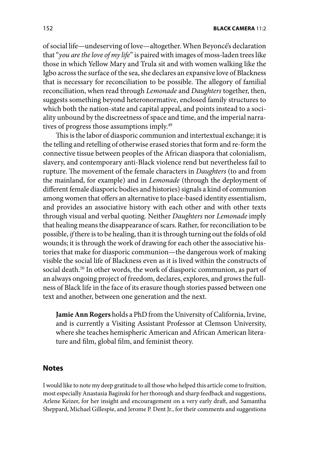of social life—undeserving of love—altogether. When Beyoncé's declaration that "*you are the love of my life*" is paired with images of moss-laden trees like those in which Yellow Mary and Trula sit and with women walking like the Igbo across the surface of the sea, she declares an expansive love of Blackness that is necessary for reconciliation to be possible. The allegory of familial reconciliation, when read through *Lemonade* and *Daughters* together, then, suggests something beyond heteronormative, enclosed family structures to which both the nation-state and capital appeal, and points instead to a sociality unbound by the discreetness of space and time, and the imperial narratives of progress those assumptions imply.49

This is the labor of diasporic communion and intertextual exchange; it is the telling and retelling of otherwise erased stories that form and re-form the connective tissue between peoples of the African diaspora that colonialism, slavery, and contemporary anti-Black violence rend but nevertheless fail to rupture. The movement of the female characters in *Daughters* (to and from the mainland, for example) and in *Lemonade* (through the deployment of different female diasporic bodies and histories) signals a kind of communion among women that offers an alternative to place-based identity essentialism, and provides an associative history with each other and with other texts through visual and verbal quoting. Neither *Daughters* nor *Lemonade* imply that healing means the disappearance of scars. Rather, for reconciliation to be possible, *if* there is to be healing, than it is through turning out the folds of old wounds; it is through the work of drawing for each other the associative histories that make for diasporic communion—the dangerous work of making visible the social life of Blackness even as it is lived within the constructs of social death.50 In other words, the work of diasporic communion, as part of an always ongoing project of freedom, declares, explores, and grows the fullness of Black life in the face of its erasure though stories passed between one text and another, between one generation and the next.

**Jamie Ann Rogers** holds a PhD from the University of California, Irvine, and is currently a Visiting Assistant Professor at Clemson University, where she teaches hemispheric American and African American literature and film, global film, and feminist theory.

#### **Notes**

I would like to note my deep gratitude to all those who helped this article come to fruition, most especially Anastasia Baginski for her thorough and sharp feedback and suggestions, Arlene Keizer, for her insight and encouragement on a very early draft, and Samantha Sheppard, Michael Gillespie, and Jerome P. Dent Jr., for their comments and suggestions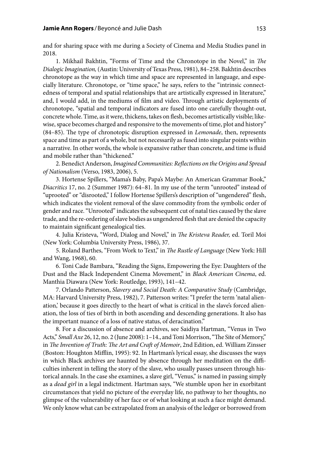#### **Jamie Ann Rogers** / Beyoncé and Julie Dash 153

and for sharing space with me during a Society of Cinema and Media Studies panel in 2018.

1. Mikhail Bakhtin, "Forms of Time and the Chronotope in the Novel," in *The Dialogic Imagination,* (Austin: University of Texas Press, 1981), 84–258. Bakhtin describes chronotope as the way in which time and space are represented in language, and especially literature. Chronotope, or "time space," he says, refers to the "intrinsic connectedness of temporal and spatial relationships that are artistically expressed in literature," and, I would add, in the mediums of film and video. Through artistic deployments of chronotope, "spatial and temporal indicators are fused into one carefully thought-out, concrete whole. Time, as it were, thickens, takes on flesh, becomes artistically visible; likewise, space becomes charged and responsive to the movements of time, plot and history" (84–85). The type of chronotopic disruption expressed in *Lemonade*, then, represents space and time as part of a whole, but not necessarily as fused into singular points within a narrative. In other words, the whole is expansive rather than concrete, and time is fluid and mobile rather than "thickened."

2. Benedict Anderson, *Imagined Communities: Reflections on the Origins and Spread of Nationalism* (Verso, 1983, 2006), 5.

3. Hortense Spillers, "Mama's Baby, Papa's Maybe: An American Grammar Book," *Diacritics* 17, no. 2 (Summer 1987): 64–81. In my use of the term "unrooted" instead of "uprooted" or "disrooted," I follow Hortense Spillers's description of "ungendered" flesh, which indicates the violent removal of the slave commodity from the symbolic order of gender and race. "Unrooted" indicates the subsequent cut of natal ties caused by the slave trade, and the re-ordering of slave bodies as ungendered flesh that are denied the capacity to maintain significant genealogical ties.

4. Julia Kristeva, "Word, Dialog and Novel," in *The Kristeva Reader,* ed. Toril Moi (New York: Columbia University Press, 1986), 37.

5. Roland Barthes, "From Work to Text," in *The Rustle of Language* (New York: Hill and Wang, 1968), 60.

6. Toni Cade Bambara, "Reading the Signs, Empowering the Eye: Daughters of the Dust and the Black Independent Cinema Movement," in *Black American Cinema*, ed. Manthia Diawara (New York: Routledge, 1993), 141–42.

7. Orlando Patterson, *Slavery and Social Death: A Comparative Study* (Cambridge, MA: Harvard University Press, 1982), 7. Patterson writes: "I prefer the term 'natal alienation,' because it goes directly to the heart of what is critical in the slave's forced alienation, the loss of ties of birth in both ascending and descending generations. It also has the important nuance of a loss of native status, of deracination."

8. For a discussion of absence and archives, see Saidiya Hartman, "Venus in Two Acts," *Small Axe* 26, 12, no. 2 (June 2008): 1–14., and Toni Morrison, "The Site of Memory," in *The Invention of Truth: The Art and Craft of Memoir*, 2nd Edition, ed. William Zinsser (Boston: Houghton Mifflin, 1995): 92. In Hartman's lyrical essay, she discusses the ways in which Black archives are haunted by absence through her meditation on the difficulties inherent in telling the story of the slave, who usually passes unseen through historical annals. In the case she examines, a slave girl, "Venus," is named in passing simply as a *dead girl* in a legal indictment. Hartman says, "We stumble upon her in exorbitant circumstances that yield no picture of the everyday life, no pathway to her thoughts, no glimpse of the vulnerability of her face or of what looking at such a face might demand. We only know what can be extrapolated from an analysis of the ledger or borrowed from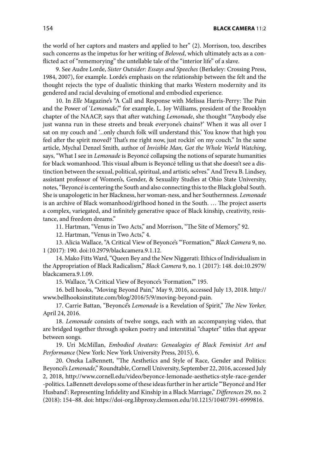the world of her captors and masters and applied to her" (2). Morrison, too, describes such concerns as the impetus for her writing of *Beloved*, which ultimately acts as a conflicted act of "rememorying" the untellable tale of the "interior life" of a slave.

9. See Audre Lorde, *Sister Outsider: Essays and Speeches* (Berkeley: Crossing Press, 1984, 2007), for example. Lorde's emphasis on the relationship between the felt and the thought rejects the type of dualistic thinking that marks Western modernity and its gendered and racial devaluing of emotional and embodied experience.

10. In *Elle* Magazine's "A Call and Response with Melissa Harris-Perry: The Pain and the Power of '*Lemonade*,'" for example, L. Joy Williams, president of the Brooklyn chapter of the NAACP, says that after watching *Lemonade*, she thought "'Anybody else just wanna run in these streets and break everyone's chains?' When it was all over I sat on my couch and '...only church folk will understand this.' You know that high you feel after the spirit moved? That's me right now, just rockin' on my couch." In the same article, Mychal Denzel Smith, author of *Invisible Man, Got the Whole World Watching*, says, "What I see in *Lemonade* is Beyoncé collapsing the notions of separate humanities for black womanhood. This visual album is Beyoncé telling us that she doesn't see a distinction between the sexual, political, spiritual, and artistic selves." And Treva B. Lindsey, assistant professor of Women's, Gender, & Sexuality Studies at Ohio State University, notes, "Beyoncé is centering the South and also connecting this to the Black global South. She is unapologetic in her Blackness, her woman-ness, and her Southernness. *Lemonade* is an archive of Black womanhood/girlhood honed in the South. … The project asserts a complex, variegated, and infinitely generative space of Black kinship, creativity, resistance, and freedom dreams."

11. Hartman, "Venus in Two Acts," and Morrison, "The Site of Memory," 92.

12. Hartman, "Venus in Two Acts," 4.

13. Alicia Wallace, "A Critical View of Beyonce's "'Formation,'" *Black Camera* 9, no. 1 (2017): 190. doi:10.2979/blackcamera.9.1.12.

14. Mako Fitts Ward, "Queen Bey and the New Niggerati: Ethics of Individualism in the Appropriation of Black Radicalism," *Black Camera* 9, no. 1 (2017): 148. doi:10.2979/ blackcamera.9.1.09.

15. Wallace, "A Critical View of Beyonce's 'Formation,'" 195.

16. bell hooks, "Moving Beyond Pain," May 9, 2016, accessed July 13, 2018. http:// www.bellhooksinstitute.com/blog/2016/5/9/moving-beyond-pain.

17. Carrie Battan, "Beyoncé's *Lemonade* is a Revelation of Spirit," *The New Yorker,*  April 24, 2016.

18. *Lemonade* consists of twelve songs, each with an accompanying video, that are bridged together through spoken poetry and interstitial "chapter" titles that appear between songs.

19. Uri McMillan, *Embodied Avatars: Genealogies of Black Feminist Art and Performance* (New York: New York University Press, 2015), 6.

20. Oneka LaBennett, "The Aesthetics and Style of Race, Gender and Politics: Beyoncé's *Lemonade*," Roundtable, Cornell University, September 22, 2016, accessed July 2, 2018, [http://www.cornell.edu/video/beyonce-lemonade-aesthetics-style-race-gender](http://www.cornell.edu/video/beyonce-lemonade-aesthetics-style-race-gender-politics) [-politics.](http://www.cornell.edu/video/beyonce-lemonade-aesthetics-style-race-gender-politics) LaBennett develops some of these ideas further in her article "'Beyoncé and Her Husband': Representing Infidelity and Kinship in a Black Marriage," *Differences* 29, no. 2 (2018): 154–88. doi: https://doi-org.libproxy.clemson.edu/10.1215/10407391-6999816.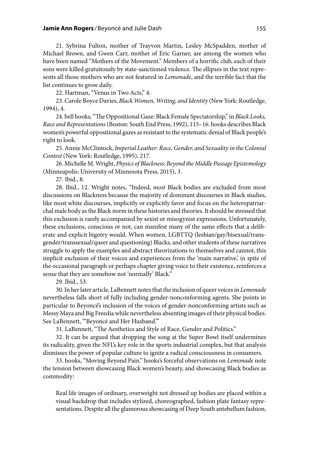21. Sybrina Fulton, mother of Trayvon Martin, Lesley McSpadden, mother of Michael Brown, and Gwen Carr, mother of Eric Garner, are among the women who have been named "Mothers of the Movement." Members of a horrific club, each of their sons were killed gratuitously by state-sanctioned violence. The ellipses in the text represents all those mothers who are not featured in *Lemonade*, and the terrible fact that the list continues to grow daily.

22. Hartman, "Venus in Two Acts," 4.

23. Carole Boyce Davies, *Black Women, Writing, and Identity* (New York: Routledge, 1994), 4.

24. bell hooks, "The Oppositional Gaze: Black Female Spectatorship," in *Black Looks, Race and Representations* (Boston: South End Press, 1992), 115–16. hooks describes Black women's powerful oppositional gazes as resistant to the systematic denial of Black people's right to look.

25. Annie McClintock, *Imperial Leather: Race, Gender, and Sexuality in the Colonial Contest* (New York: Routledge, 1995), 217.

26. Michelle M. Wright, *Physics of Blackness: Beyond the Middle Passage Epistemology*  (Minneapolis: University of Minnesota Press, 2015), 3.

27. Ibid., 8.

28. Ibid., 12. Wright notes, "Indeed, *most* Black bodies are excluded from most discussions on Blackness because the majority of dominant discourses in Black studies, like most white discourses, implicitly or explicitly favor and focus on the heteropatriarchal male body as the Black norm in these histories and theories. It should be stressed that this exclusion is rarely accompanied by sexist or misogynist expressions. Unfortunately, these exclusions, conscious or not, can manifest many of the same effects that a deliberate and explicit bigotry would. When women, LGBTTQ (lesbian/gay/bisexual/transgender/transsexual/queer and questioning) Blacks, and other students of these narratives struggle to apply the examples and abstract theorizations to themselves and cannot, this implicit exclusion of their voices and experiences from the 'main narrative,' in spite of the occasional paragraph or perhaps chapter giving voice to their existence, reinforces a sense that they are somehow not 'normally' Black."

29. Ibid., 53.

30. In her later article, LaBennett notes that the inclusion of queer voices in *Lemonade* nevertheless falls short of fully including gender-nonconforming agents. She points in particular to Beyoncé's inclusion of the voices of gender-nonconforming artists such as Messy Maya and Big Freedia while nevertheless absenting images of their physical bodies. See LaBennett, "'Beyoncé and Her Husband.'"

31. LaBennett, "The Aesthetics and Style of Race, Gender and Politics."

32. It can be argued that dropping the song at the Super Bowl itself undermines its radicality, given the NFL's key role in the sports industrial complex, but that analysis dismisses the power of popular culture to ignite a radical consciousness in consumers.

33. hooks, "Moving Beyond Pain." hooks's forceful observations on *Lemonade* note the tension between showcasing Black women's beauty, and showcasing Black bodies as commodity:

Real life images of ordinary, overweight not dressed up bodies are placed within a visual backdrop that includes stylized, choreographed, fashion plate fantasy representations. Despite all the glamorous showcasing of Deep South antebellum fashion,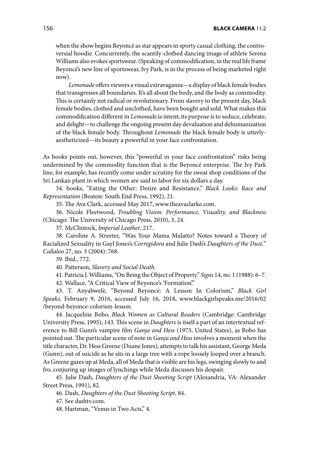when the show begins Beyoncé as star appears in sporty casual clothing, the controversial hoodie. Concurrently, the scantily-clothed dancing image of athlete Serena Williams also evokes sportswear. (Speaking of commodification, in the real life frame Beyoncé's new line of sportswear, Ivy Park, is in the process of being marketed right now).

*Lemonade* offers viewers a visual extravaganza—a display of black female bodies that transgresses all boundaries. It's all about the body, and the body as commodity. This is certainly not radical or revolutionary. From slavery to the present day, black female bodies, clothed and unclothed, have been bought and sold. What makes this commodification different in *Lemonade* is intent; its purpose is to seduce, celebrate, and delight—to challenge the ongoing present day devaluation and dehumanization of the black female body. Throughout *Lemonade* the black female body is utterlyaestheticized—its beauty a powerful in your face confrontation.

As hooks points out, however, this "powerful in your face confrontation" risks being undermined by the commodity function that is the Beyoncé enterprise. The Ivy Park line, for example, has recently come under scrutiny for the sweat shop conditions of the Sri Lankan plant in which women are said to labor for six dollars a day.

34. hooks, "Eating the Other: Desire and Resistance," *Black Looks: Race and Representation* (Boston: South End Press, 1992), 21.

35. The Ava Clark, accessed May 2017, www.theavaclarke.com.

36. Nicole Fleetwood, *Troubling Vision: Performance, Visuality, and Blackness*  (Chicago: The University of Chicago Press, 2010), 3, 24.

37. McClintock, *Imperial Leather*, 217.

38. Caroline A. Streeter, "Was Your Mama Mulatto? Notes toward a Theory of Racialized Sexuality in Gayl Jones's *Corregidora* and Julie Dash's *Daughters of the Dust,*" *Callaloo* 27, no. 3 (2004): 768.

39. Ibid., 772.

40. Patterson, *Slavery and Social Death.*

41. Patricia J. Williams, "On Being the Object of Property." *Signs* 14, no. 1 (1988): 6–7.

42. Wallace, "A Critical View of Beyonce's 'Formation'."

43. T. Anyabwelè, "Beyond Beyoncé: A Lesson In Colorism," *Black Girl Speaks,* February 9, 2016, accessed July 16, 2018, [www.blackgirlspeaks.me/2016/02](www.blackgirlspeaks.me/2016/02/beyond-beyonce-colorism-lesson) [/beyond-beyonce-colorism-lesson.](www.blackgirlspeaks.me/2016/02/beyond-beyonce-colorism-lesson) 

44. Jacqueline Bobo, *Black Women as Cultural Readers* (Cambridge: Cambridge University Press, 1995), 143. This scene in *Daughters* is itself a part of an intertextual reference to Bill Gunn's vampire film *Ganja and Hess* (1973, United States), as Bobo has pointed out. The particular scene of note in *Ganja and Hess* involves a moment when the title character, Dr. Hess Greene (Duane Jones), attempts to talk his assistant, George Meda (Gunn), out of suicide as he sits in a large tree with a rope loosely looped over a branch. As Greene gazes up at Meda, all of Meda that is visible are his legs, swinging slowly to and fro, conjuring up images of lynchings while Meda discusses his despair.

45. Julie Dash, *Daughters of the Dust Shooting Script* (Alexandria, VA: Alexander Street Press, 1991), 82.

46. Dash, *Daughters of the Dust Shooting Script*, 84.

47. See dashtv.com.

48. Hartman, "Venus in Two Acts," 4.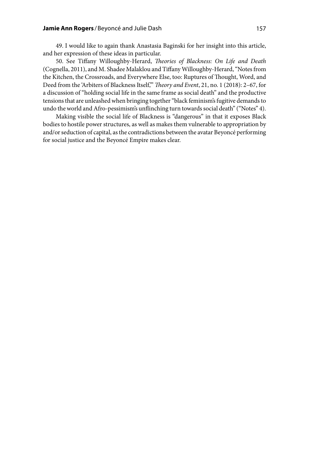#### **Jamie Ann Rogers** / Beyoncé and Julie Dash 157

49. I would like to again thank Anastasia Baginski for her insight into this article, and her expression of these ideas in particular.

50. See Tiffany Willoughby-Herard, *Theories of Blackness: On Life and Death* (Cognella, 2011), and M. Shadee Malaklou and Tiffany Willoughby-Herard, "Notes from the Kitchen, the Crossroads, and Everywhere Else, too: Ruptures of Thought, Word, and Deed from the 'Arbiters of Blackness Itself,'" *Theory and Event*, 21, no. 1 (2018): 2–67, for a discussion of "holding social life in the same frame as social death" and the productive tensions that are unleashed when bringing together "black feminism's fugitive demands to undo the world and Afro-pessimism's unflinching turn towards social death" ("Notes" 4).

Making visible the social life of Blackness is "dangerous" in that it exposes Black bodies to hostile power structures, as well as makes them vulnerable to appropriation by and/or seduction of capital, as the contradictions between the avatar Beyoncé performing for social justice and the Beyoncé Empire makes clear.